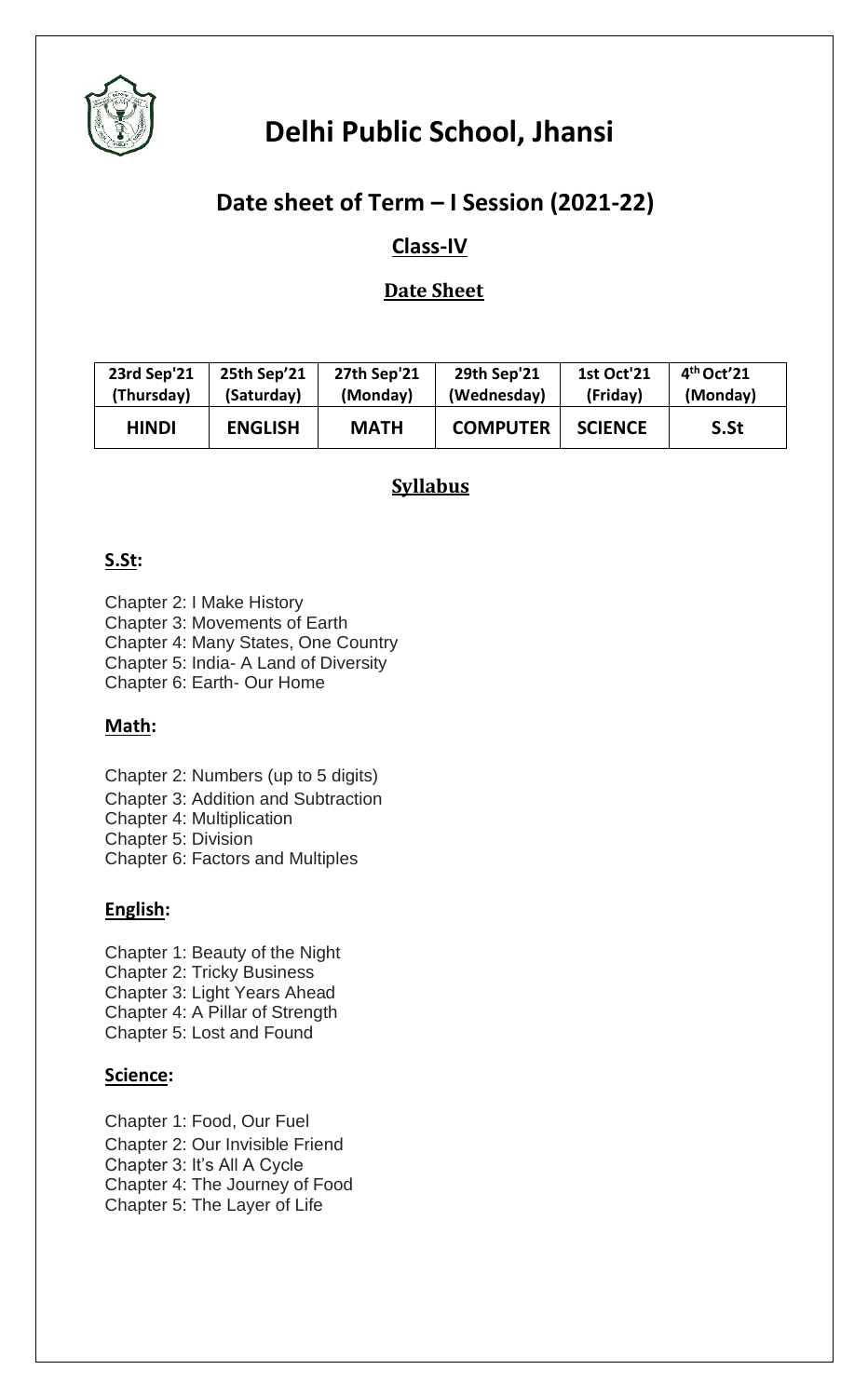

## **Date sheet of Term – I Session (2021-22)**

### **Class-IV**

#### **Date Sheet**

| 23rd Sep'21  | 25th Sep'21    | <b>27th Sep'21</b> | <b>29th Sep'21</b> | <b>1st Oct'21</b> | $4th$ Oct'21 |
|--------------|----------------|--------------------|--------------------|-------------------|--------------|
| (Thursday)   | (Saturday)     | (Monday)           | (Wednesday)        | (Friday)          | (Monday)     |
| <b>HINDI</b> | <b>ENGLISH</b> | <b>MATH</b>        | <b>COMPUTER</b>    | <b>SCIENCE</b>    | S.St         |

#### **Syllabus**

#### **S.St:**

Chapter 2: I Make History Chapter 3: Movements of Earth Chapter 4: Many States, One Country Chapter 5: India- A Land of Diversity Chapter 6: Earth- Our Home

#### **Math:**

- Chapter 2: Numbers (up to 5 digits) Chapter 3: Addition and Subtraction Chapter 4: Multiplication Chapter 5: Division
- Chapter 6: Factors and Multiples

#### **English:**

Chapter 1: Beauty of the Night Chapter 2: Tricky Business Chapter 3: Light Years Ahead Chapter 4: A Pillar of Strength Chapter 5: Lost and Found

#### **Science:**

Chapter 1: Food, Our Fuel Chapter 2: Our Invisible Friend Chapter 3: It's All A Cycle Chapter 4: The Journey of Food Chapter 5: The Layer of Life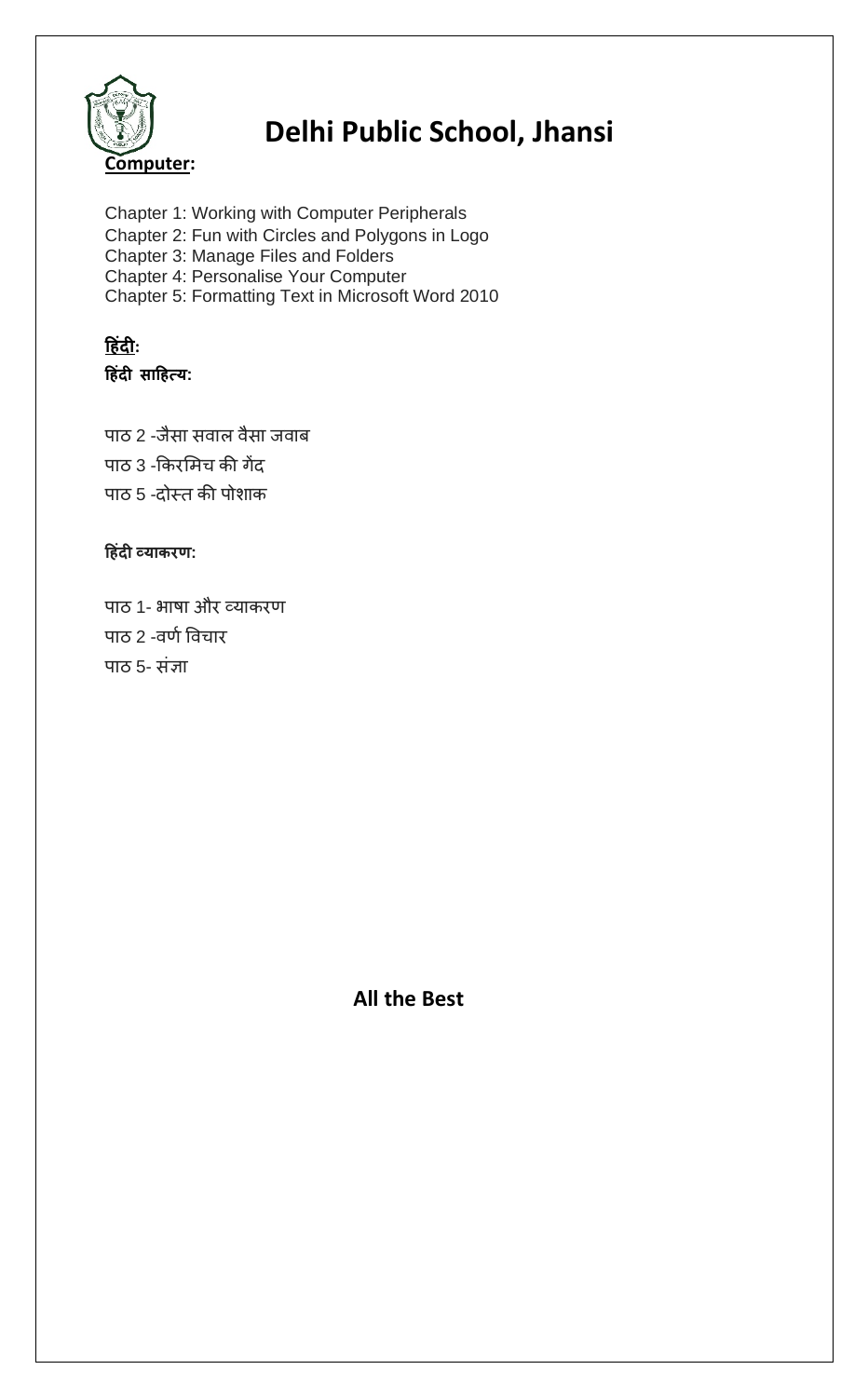

Chapter 1: Working with Computer Peripherals Chapter 2: Fun with Circles and Polygons in Logo Chapter 3: Manage Files and Folders Chapter 4: Personalise Your Computer Chapter 5: Formatting Text in Microsoft Word 2010

#### **ह िंदी: ह िंदी साह त्य:**

पाठ 2 -जैसा सवाल वैसा जवाब पाठ 3 -किरमिच की गेंद पाठ 5 -दोस्त की पोशाक

#### **ह िंदी व्याकरण:**

पाठ 1- भाषा और व्याकरण पाठ 2 -वर्ण विचार पाठ 5- संज्ञा

 **All the Best**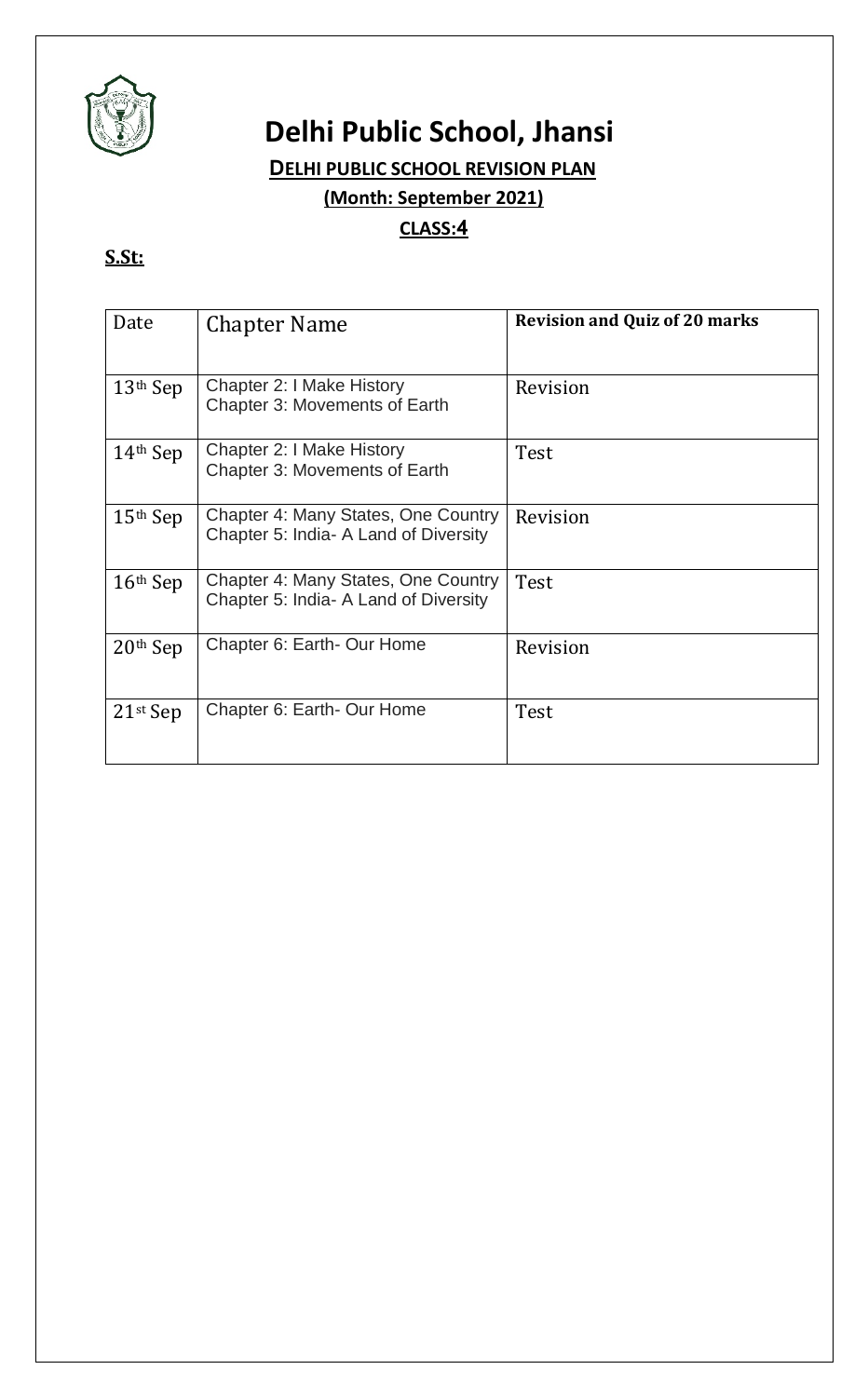

### **DELHI PUBLIC SCHOOL REVISION PLAN**

**(Month: September 2021)**

#### **CLASS:4**

## **S.St:**

| Date                   | <b>Chapter Name</b>                                                          | <b>Revision and Quiz of 20 marks</b> |
|------------------------|------------------------------------------------------------------------------|--------------------------------------|
| $13th$ Sep             | Chapter 2: I Make History<br><b>Chapter 3: Movements of Earth</b>            | Revision                             |
| $14th$ Sep             | Chapter 2: I Make History<br>Chapter 3: Movements of Earth                   | Test                                 |
| $15th$ Sep             | Chapter 4: Many States, One Country<br>Chapter 5: India- A Land of Diversity | Revision                             |
| $16th$ Sep             | Chapter 4: Many States, One Country<br>Chapter 5: India- A Land of Diversity | Test                                 |
| $20th$ Sep             | Chapter 6: Earth- Our Home                                                   | Revision                             |
| $21$ <sup>st</sup> Sep | Chapter 6: Earth- Our Home                                                   | Test                                 |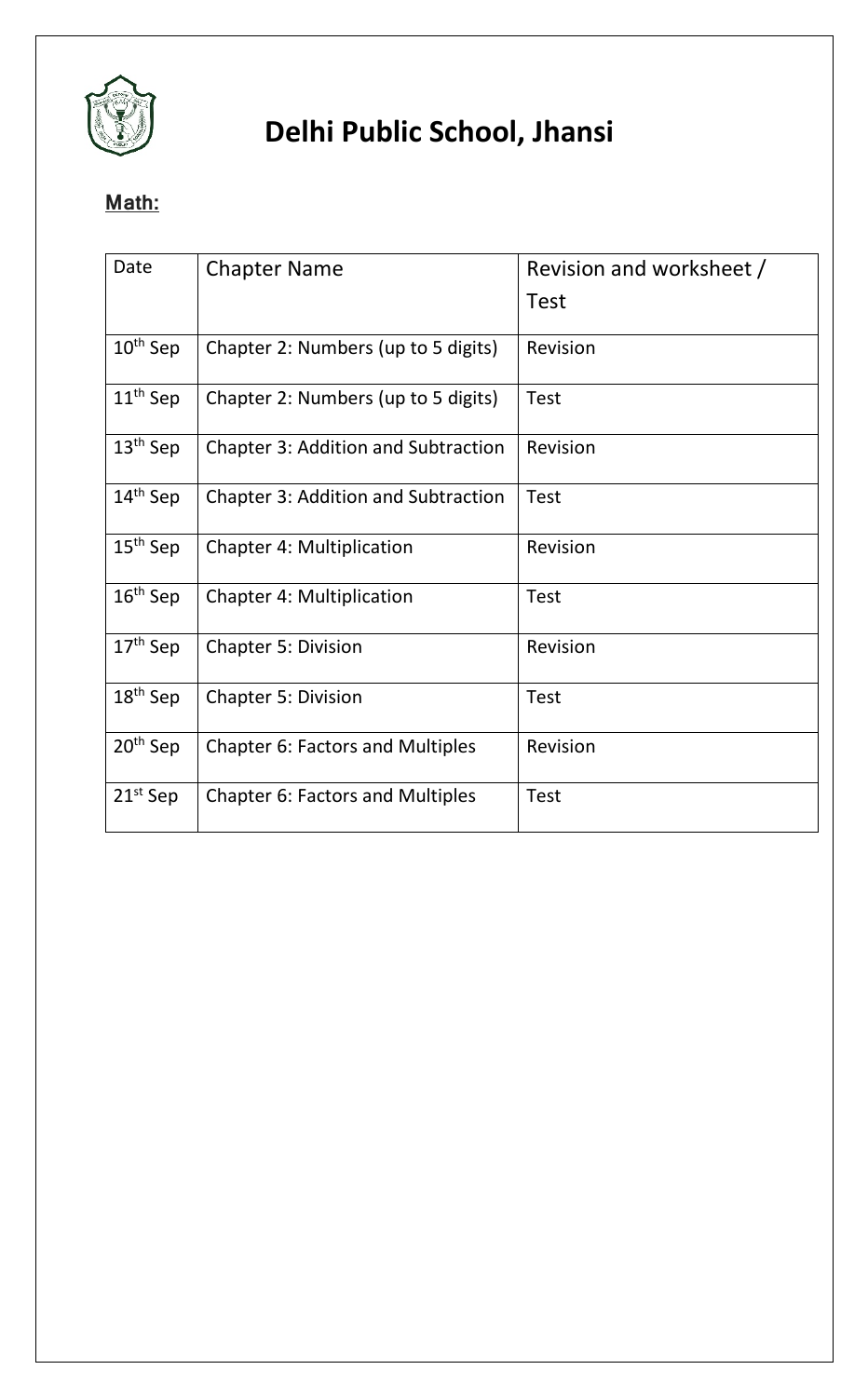

### **Math:**

| Date                 | <b>Chapter Name</b>                        | Revision and worksheet / |
|----------------------|--------------------------------------------|--------------------------|
|                      |                                            | <b>Test</b>              |
| $10th$ Sep           | Chapter 2: Numbers (up to 5 digits)        | Revision                 |
| $11th$ Sep           | Chapter 2: Numbers (up to 5 digits)        | <b>Test</b>              |
| $13th$ Sep           | <b>Chapter 3: Addition and Subtraction</b> | Revision                 |
| 14 <sup>th</sup> Sep | <b>Chapter 3: Addition and Subtraction</b> | <b>Test</b>              |
| $15th$ Sep           | <b>Chapter 4: Multiplication</b>           | Revision                 |
| $16th$ Sep           | <b>Chapter 4: Multiplication</b>           | <b>Test</b>              |
| $17th$ Sep           | <b>Chapter 5: Division</b>                 | Revision                 |
| $18th$ Sep           | <b>Chapter 5: Division</b>                 | <b>Test</b>              |
| 20 <sup>th</sup> Sep | Chapter 6: Factors and Multiples           | Revision                 |
| $21st$ Sep           | <b>Chapter 6: Factors and Multiples</b>    | <b>Test</b>              |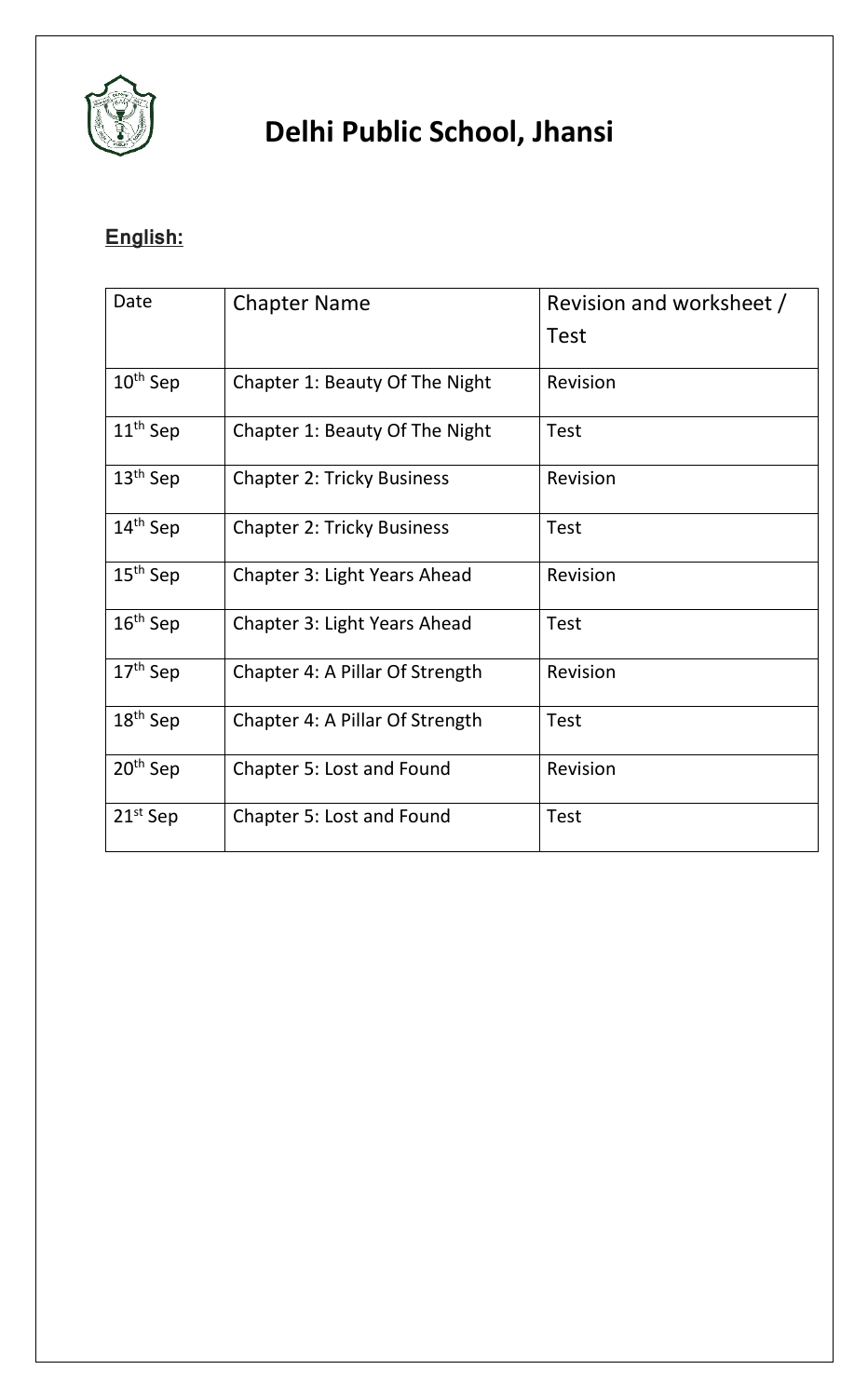

## **English:**

| Date          | <b>Chapter Name</b>               | Revision and worksheet / |
|---------------|-----------------------------------|--------------------------|
|               |                                   | Test                     |
| $10th$ Sep    | Chapter 1: Beauty Of The Night    | Revision                 |
| $11th$ Sep    | Chapter 1: Beauty Of The Night    | <b>Test</b>              |
| $13th$ Sep    | <b>Chapter 2: Tricky Business</b> | Revision                 |
| $14th$ Sep    | <b>Chapter 2: Tricky Business</b> | <b>Test</b>              |
| $15th$ Sep    | Chapter 3: Light Years Ahead      | Revision                 |
| $16th$ Sep    | Chapter 3: Light Years Ahead      | <b>Test</b>              |
| $17th$ Sep    | Chapter 4: A Pillar Of Strength   | Revision                 |
| $18th$ Sep    | Chapter 4: A Pillar Of Strength   | <b>Test</b>              |
| $20th$ Sep    | Chapter 5: Lost and Found         | Revision                 |
| $21^{st}$ Sep | Chapter 5: Lost and Found         | <b>Test</b>              |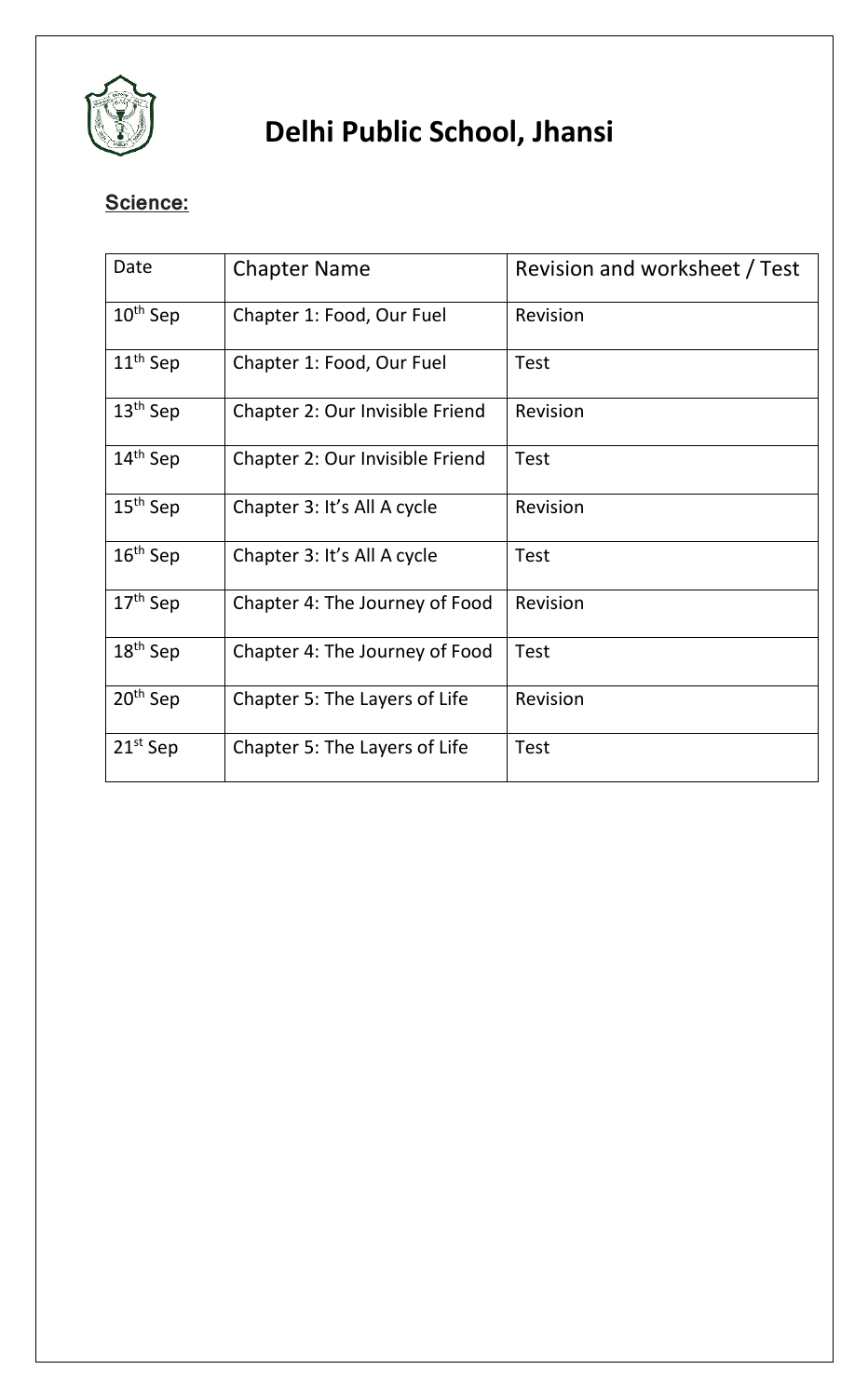

### **Science:**

| Date                 | <b>Chapter Name</b>             | Revision and worksheet / Test |
|----------------------|---------------------------------|-------------------------------|
| $10th$ Sep           | Chapter 1: Food, Our Fuel       | Revision                      |
| $11th$ Sep           | Chapter 1: Food, Our Fuel       | <b>Test</b>                   |
| $13th$ Sep           | Chapter 2: Our Invisible Friend | Revision                      |
| 14 <sup>th</sup> Sep | Chapter 2: Our Invisible Friend | <b>Test</b>                   |
| $15th$ Sep           | Chapter 3: It's All A cycle     | Revision                      |
| $16th$ Sep           | Chapter 3: It's All A cycle     | <b>Test</b>                   |
| $17th$ Sep           | Chapter 4: The Journey of Food  | Revision                      |
| $18th$ Sep           | Chapter 4: The Journey of Food  | <b>Test</b>                   |
| 20 <sup>th</sup> Sep | Chapter 5: The Layers of Life   | Revision                      |
| $21st$ Sep           | Chapter 5: The Layers of Life   | <b>Test</b>                   |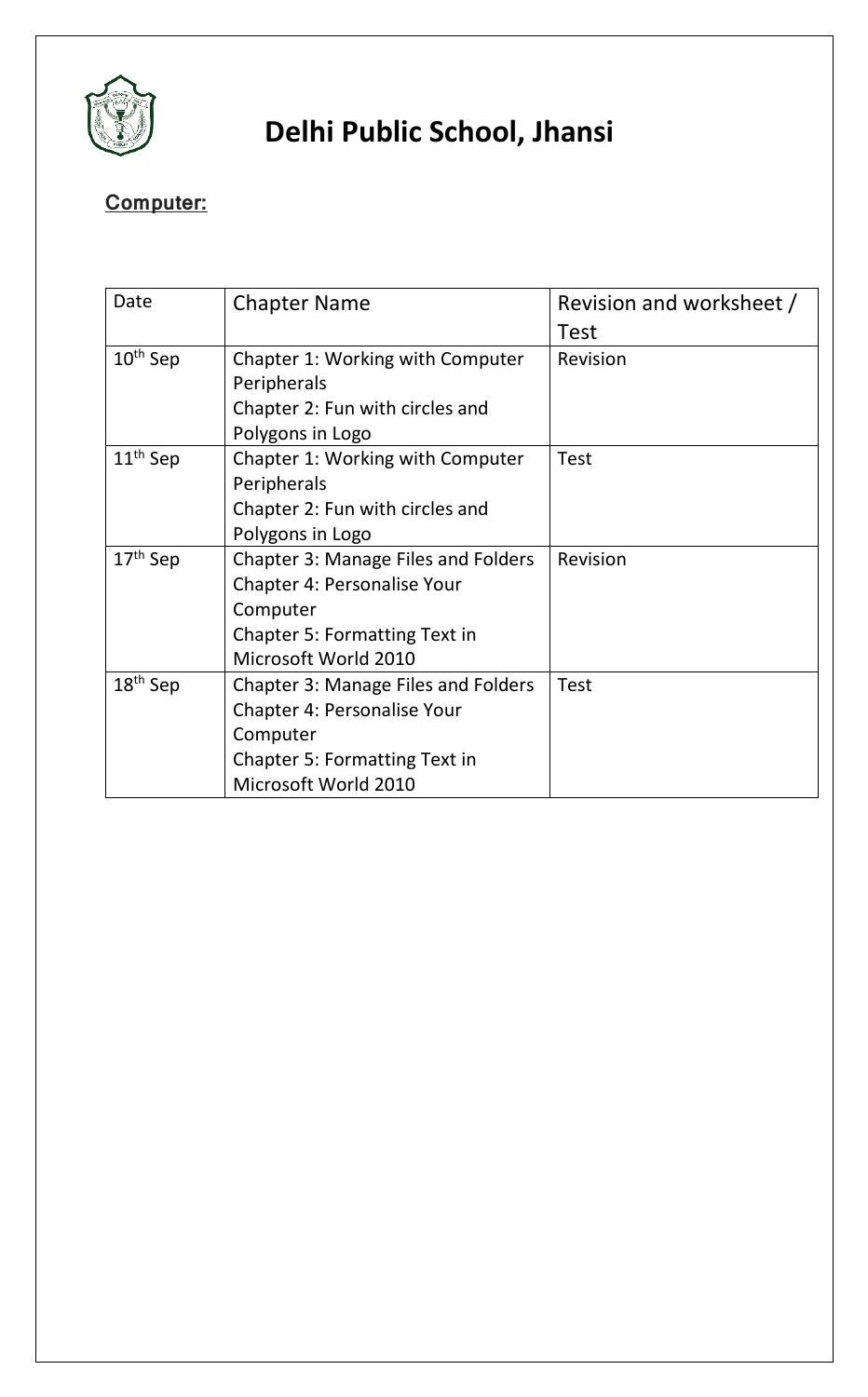

### **Computer:**

| Date                 | <b>Chapter Name</b>                        | Revision and worksheet / |
|----------------------|--------------------------------------------|--------------------------|
|                      |                                            | Test                     |
| $10th$ Sep           | Chapter 1: Working with Computer           | Revision                 |
|                      | Peripherals                                |                          |
|                      | Chapter 2: Fun with circles and            |                          |
|                      | Polygons in Logo                           |                          |
| 11 <sup>th</sup> Sep | Chapter 1: Working with Computer           | <b>Test</b>              |
|                      | Peripherals                                |                          |
|                      | Chapter 2: Fun with circles and            |                          |
|                      | Polygons in Logo                           |                          |
| 17 <sup>th</sup> Sep | <b>Chapter 3: Manage Files and Folders</b> | Revision                 |
|                      | <b>Chapter 4: Personalise Your</b>         |                          |
|                      | Computer                                   |                          |
|                      | <b>Chapter 5: Formatting Text in</b>       |                          |
|                      | Microsoft World 2010                       |                          |
| $18th$ Sep           | <b>Chapter 3: Manage Files and Folders</b> | <b>Test</b>              |
|                      | <b>Chapter 4: Personalise Your</b>         |                          |
|                      | Computer                                   |                          |
|                      | <b>Chapter 5: Formatting Text in</b>       |                          |
|                      | Microsoft World 2010                       |                          |